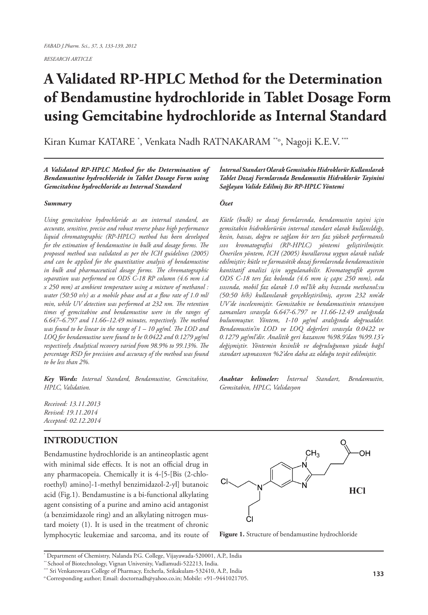*RESEARCH ARTICLE*

# **A Validated RP-HPLC Method for the Determination of Bendamustine hydrochloride in Tablet Dosage Form using Gemcitabine hydrochloride as Internal Standard**

Kiran Kumar KATARE \* , Venkata Nadh RATNAKARAM \*\*o, Nagoji K.E.V. \*\*\*

*A Validated RP-HPLC Method for the Determination of Bendamustine hydrochloride in Tablet Dosage Form using Gemcitabine hydrochloride as Internal Standard*

#### *Summary*

*Using gemcitabine hydrochloride as an internal standard, an accurate, sensitive, precise and robust reverse phase high performance liquid chromatographic (RP-HPLC) method has been developed for the estimation of bendamustine in bulk and dosage forms. The proposed method was validated as per the ICH guidelines (2005) and can be applied for the quantitative analysis of bendamustine in bulk and pharmaceutical dosage forms. The chromatographic separation was performed on ODS C-18 RP column (4.6 mm i.d x 250 mm) at ambient temperature using a mixture of methanol : water (50:50 v/v) as a mobile phase and at a flow rate of 1.0 ml/ min, while UV detection was performed at 232 nm. The retention times of gemcitabine and bendamustine were in the ranges of 6.647–6.797 and 11.66–12.49 minutes, respectively. The method was found to be linear in the range of 1 – 10 μg/ml. The LOD and LOQ for bendamustine were found to be 0.0422 and 0.1279 µg/ml respectively. Analytical recovery varied from 98.9% to 99.13%. The percentage RSD for precision and accuracy of the method was found to be less than 2%.*

*Key Words: Internal Standard, Bendamustine, Gemcitabine, HPLC, Validation.*

*Received: 13.11.2013 Revised: 19.11.2014 Accepted: 02.12.2014*

# **INTRODUCTION**

Bendamustine hydrochloride is an antineoplastic agent with minimal side effects. It is not an official drug in any pharmacopeia. Chemically it is 4-[5-[Bis (2-chloroethyl) amino]-1-methyl benzimidazol-2-yl] butanoic acid (Fig.1). Bendamustine is a bi-functional alkylating agent consisting of a purine and amino acid antagonist (a benzimidazole ring) and an alkylating nitrogen mustard moiety (1). It is used in the treatment of chronic lymphocytic leukemiae and sarcoma, and its route of *İnternal Standart Olarak Gemsitabin Hidroklorür Kullanılarak Tablet Dozaj Formlarında Bendamustin Hidroklorür Tayinini Sağlayan Valide Edilmiş Bir RP-HPLC Yöntemi* 

## *Özet*

*Kütle (bulk) ve dozaj formlarında, bendamustin tayini için gemsitabin hidroklorürün internal standart olarak kullanıldığı, kesin, hassas, doğru ve sağlam bir ters faz yüksek performanslı sıvı kromatografisi (RP-HPLC) yöntemi geliştirilmiştir. Önerilen yöntem, ICH (2005) kurallarına uygun olarak valide edilmiştir; kütle ve farmasötik dozaj formlarında bendamustinin kantitatif analizi için uygulanabilir. Kromatografik ayırım ODS C-18 ters faz kolonda (4.6 mm iç çapx 250 mm), oda ısısında, mobil faz olarak 1.0 ml'lik akış hızında methanol:su (50:50 h/h) kullanılarak gerçekleştirilmiş, ayrım 232 nm'de UV'de incelenmiştir. Gemsitabin ve bendamustinin retansiyon zamanları sırasıyla 6.647-6.797 ve 11.66-12.49 aralığında bulunmuştur. Yöntem, 1-10 μg/ml aralığında doğrusaldır. Bendamustin'in LOD ve LOQ değerleri sırasıyla 0.0422 ve 0.1279 µg/ml'dir. Analitik geri kazanım %98.9'dan %99.13'e değişmiştir. Yöntemin kesinlik ve doğruluğunun yüzde bağıl standart sapmasının %2'den daha az olduğu tespit edilmiştir.*

*Anahtar kelimeler: İnternal Standart, Bendamustin, Gemsitabin, HPLC, Validasyon*



**Figure 1.** Structure of bendamustine hydrochloride

<sup>\*</sup> Department of Chemistry, Nalanda P.G. College, Vijayawada-520001, A.P., India

<sup>\*\*</sup> School of Biotechnology, Vignan University, Vadlamudi-522213, India.

<sup>\*\*\*</sup> Sri Venkateswara College of Pharmacy, Etcherla, Srikakulam-532410, A.P., India

o Corresponding author; Email: doctornadh@yahoo.co.in; Mobile: +91–9441021705.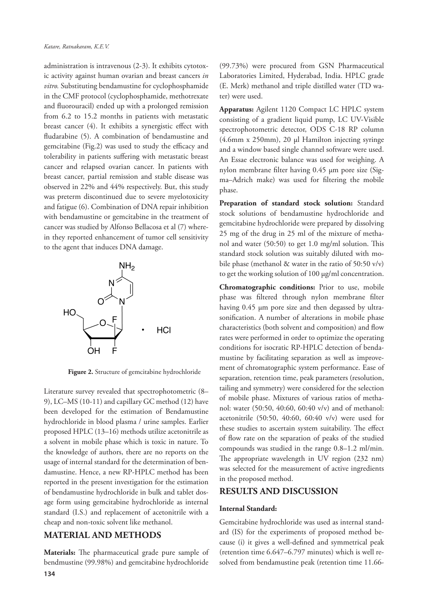administration is intravenous (2-3). It exhibits cytotoxic activity against human ovarian and breast cancers *in vitro.* Substituting bendamustine for cyclophosphamide in the CMF protocol (cyclophosphamide, methotrexate and fluorouracil) ended up with a prolonged remission from 6.2 to 15.2 months in patients with metastatic breast cancer (4). It exhibits a synergistic effect with fludarabine (5). A combination of bendamustine and gemcitabine (Fig.2) was used to study the efficacy and tolerability in patients suffering with metastatic breast cancer and relapsed ovarian cancer. In patients with breast cancer, partial remission and stable disease was observed in 22% and 44% respectively. But, this study was preterm discontinued due to severe myelotoxicity and fatigue (6). Combination of DNA repair inhibition with bendamustine or gemcitabine in the treatment of cancer was studied by Alfonso Bellacosa et al (7) wherein they reported enhancement of tumor cell sensitivity to the agent that induces DNA damage.



**Figure 2.** Structure of gemcitabine hydrochloride

Literature survey revealed that spectrophotometric (8– 9), LC–MS (10-11) and capillary GC method (12) have been developed for the estimation of Bendamustine hydrochloride in blood plasma / urine samples. Earlier proposed HPLC (13–16) methods utilize acetonitrile as a solvent in mobile phase which is toxic in nature. To the knowledge of authors, there are no reports on the usage of internal standard for the determination of bendamustine. Hence, a new RP-HPLC method has been reported in the present investigation for the estimation of bendamustine hydrochloride in bulk and tablet dosage form using gemcitabine hydrochloride as internal standard (I.S.) and replacement of acetonitrile with a cheap and non-toxic solvent like methanol.

## **MATERIAL AND METHODS**

**134 Materials:** The pharmaceutical grade pure sample of bendmustine (99.98%) and gemcitabine hydrochloride

(99.73%) were procured from GSN Pharmaceutical Laboratories Limited, Hyderabad, India. HPLC grade (E. Merk) methanol and triple distilled water (TD water) were used.

**Apparatus:** Agilent 1120 Compact LC HPLC system consisting of a gradient liquid pump, LC UV-Visible spectrophotometric detector, ODS C-18 RP column (4.6mm x 250mm), 20 µl Hamilton injecting syringe and a window based single channel software were used. An Essae electronic balance was used for weighing. A nylon membrane filter having 0.45 µm pore size (Sigma–Adrich make) was used for filtering the mobile phase.

**Preparation of standard stock solution:** Standard stock solutions of bendamustine hydrochloride and gemcitabine hydrochloride were prepared by dissolving 25 mg of the drug in 25 ml of the mixture of methanol and water (50:50) to get 1.0 mg/ml solution. This standard stock solution was suitably diluted with mobile phase (methanol  $\&$  water in the ratio of 50:50 v/v) to get the working solution of 100 µg/ml concentration.

**Chromatographic conditions:** Prior to use, mobile phase was filtered through nylon membrane filter having 0.45 µm pore size and then degassed by ultrasonification. A number of alterations in mobile phase characteristics (both solvent and composition) and flow rates were performed in order to optimize the operating conditions for isocratic RP-HPLC detection of bendamustine by facilitating separation as well as improvement of chromatographic system performance. Ease of separation, retention time, peak parameters (resolution, tailing and symmetry) were considered for the selection of mobile phase. Mixtures of various ratios of methanol: water (50:50, 40:60, 60:40 v/v) and of methanol: acetonitrile (50:50, 40:60, 60:40 v/v) were used for these studies to ascertain system suitability. The effect of flow rate on the separation of peaks of the studied compounds was studied in the range 0.8–1.2 ml/min. The appropriate wavelength in UV region (232 nm) was selected for the measurement of active ingredients in the proposed method.

### **RESULTS AND DISCUSSION**

### **Internal Standard:**

Gemcitabine hydrochloride was used as internal standard (IS) for the experiments of proposed method because (i) it gives a well-defined and symmetrical peak (retention time 6.647–6.797 minutes) which is well resolved from bendamustine peak (retention time 11.66-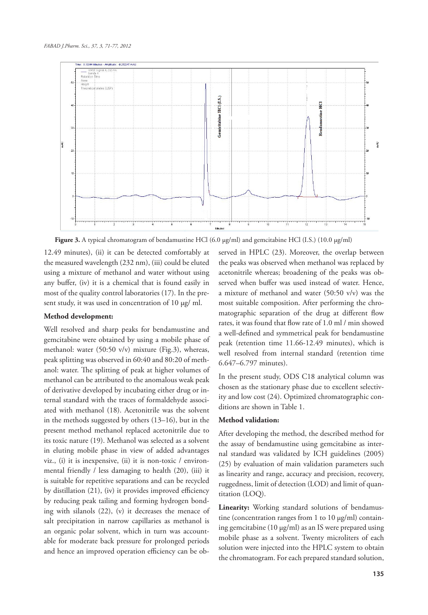

**Figure 3.** A typical chromatogram of bendamustine HCl (6.0 µg/ml) and gemcitabine HCl (I.S.) (10.0 µg/ml)

12.49 minutes), (ii) it can be detected comfortably at the measured wavelength (232 nm), (iii) could be eluted using a mixture of methanol and water without using any buffer, (iv) it is a chemical that is found easily in most of the quality control laboratories (17). In the present study, it was used in concentration of 10 µg/ ml.

## **Method development:**

Well resolved and sharp peaks for bendamustine and gemcitabine were obtained by using a mobile phase of methanol: water (50:50 v/v) mixture (Fig.3), whereas, peak splitting was observed in 60:40 and 80:20 of methanol: water. The splitting of peak at higher volumes of methanol can be attributed to the anomalous weak peak of derivative developed by incubating either drug or internal standard with the traces of formaldehyde associated with methanol (18). Acetonitrile was the solvent in the methods suggested by others (13–16), but in the present method methanol replaced acetonitrile due to its toxic nature (19). Methanol was selected as a solvent in eluting mobile phase in view of added advantages viz., (i) it is inexpensive, (ii) it is non-toxic / environmental friendly / less damaging to health (20), (iii) it is suitable for repetitive separations and can be recycled by distillation (21), (iv) it provides improved efficiency by reducing peak tailing and forming hydrogen bonding with silanols (22), (v) it decreases the menace of salt precipitation in narrow capillaries as methanol is an organic polar solvent, which in turn was accountable for moderate back pressure for prolonged periods and hence an improved operation efficiency can be ob-

served in HPLC (23). Moreover, the overlap between the peaks was observed when methanol was replaced by acetonitrile whereas; broadening of the peaks was observed when buffer was used instead of water. Hence, a mixture of methanol and water (50:50 v/v) was the most suitable composition. After performing the chromatographic separation of the drug at different flow rates, it was found that flow rate of 1.0 ml / min showed a well-defined and symmetrical peak for bendamustine peak (retention time 11.66-12.49 minutes), which is well resolved from internal standard (retention time 6.647–6.797 minutes).

In the present study, ODS C18 analytical column was chosen as the stationary phase due to excellent selectivity and low cost (24). Optimized chromatographic conditions are shown in Table 1.

#### **Method validation:**

After developing the method, the described method for the assay of bendamustine using gemcitabine as internal standard was validated by ICH guidelines (2005) (25) by evaluation of main validation parameters such as linearity and range, accuracy and precision, recovery, ruggedness, limit of detection (LOD) and limit of quantitation (LOQ).

**Linearity:** Working standard solutions of bendamustine (concentration ranges from 1 to 10  $\mu$ g/ml) containing gemcitabine (10 µg/ml) as an IS were prepared using mobile phase as a solvent. Twenty microliters of each solution were injected into the HPLC system to obtain the chromatogram. For each prepared standard solution,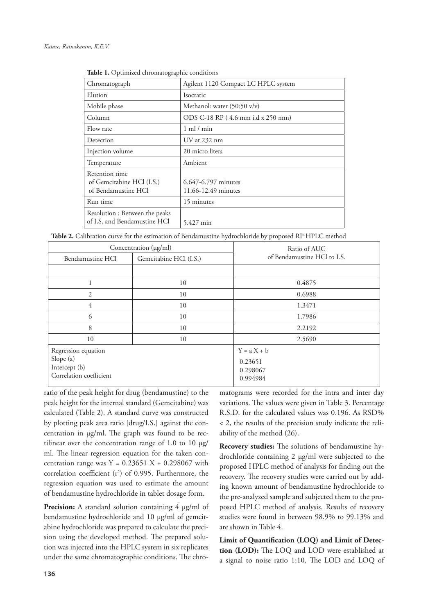| Chromatograph                                                      | Agilent 1120 Compact LC HPLC system        |
|--------------------------------------------------------------------|--------------------------------------------|
| Elution                                                            | Isocratic                                  |
| Mobile phase                                                       | Methanol: water $(50:50 \text{ v/v})$      |
| Column                                                             | ODS C-18 RP (4.6 mm i.d x 250 mm)          |
| Flow rate                                                          | $1 \text{ ml} / \text{min}$                |
| Detection                                                          | UV at 232 nm                               |
| Injection volume                                                   | 20 micro liters                            |
| Temperature                                                        | Ambient                                    |
| Retention time<br>of Gemcitabine HCl (I.S.)<br>of Bendamustine HCl | 6.647-6.797 minutes<br>11.66-12.49 minutes |
| Run time                                                           | 15 minutes                                 |
| Resolution : Between the peaks<br>of I.S. and Bendamustine HCl     | 5.427 min                                  |

**Table 1.** Optimized chromatographic conditions

| Concentration (µg/ml)  | Ratio of AUC                    |  |
|------------------------|---------------------------------|--|
| Gemcitabine HCl (I.S.) | of Bendamustine HCl to I.S.     |  |
|                        |                                 |  |
| 10                     | 0.4875                          |  |
| 10                     | 0.6988                          |  |
| 10                     | 1.3471                          |  |
| 10                     | 1.7986                          |  |
| 10                     | 2.2192                          |  |
| 10                     | 2.5690                          |  |
|                        | $Y = a X + b$                   |  |
|                        | 0.23651<br>0.298067<br>0.994984 |  |
|                        |                                 |  |

ratio of the peak height for drug (bendamustine) to the peak height for the internal standard (Gemcitabine) was calculated (Table 2). A standard curve was constructed by plotting peak area ratio [drug/I.S.] against the concentration in µg/ml. The graph was found to be rectilinear over the concentration range of 1.0 to 10 µg/ ml. The linear regression equation for the taken concentration range was  $Y = 0.23651 X + 0.298067$  with correlation coefficient  $(r^2)$  of 0.995. Furthermore, the regression equation was used to estimate the amount of bendamustine hydrochloride in tablet dosage form.

Precision: A standard solution containing 4 µg/ml of bendamustine hydrochloride and 10 µg/ml of gemcitabine hydrochloride was prepared to calculate the precision using the developed method. The prepared solution was injected into the HPLC system in six replicates under the same chromatographic conditions. The chromatograms were recorded for the intra and inter day variations. The values were given in Table 3. Percentage R.S.D. for the calculated values was 0.196. As RSD% < 2, the results of the precision study indicate the reliability of the method (26).

**Recovery studies:** The solutions of bendamustine hydrochloride containing 2 µg/ml were subjected to the proposed HPLC method of analysis for finding out the recovery. The recovery studies were carried out by adding known amount of bendamustine hydrochloride to the pre-analyzed sample and subjected them to the proposed HPLC method of analysis. Results of recovery studies were found in between 98.9% to 99.13% and are shown in Table 4.

**Limit of Quantification (LOQ) and Limit of Detection (LOD):** The LOQ and LOD were established at a signal to noise ratio 1:10. The LOD and LOQ of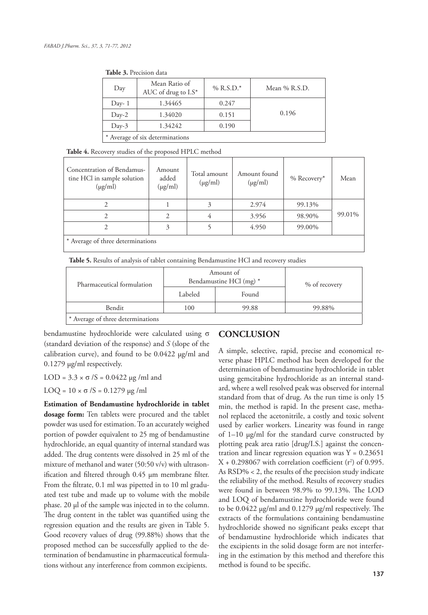| 10010.7111010111010             |                                      |             |                 |  |  |
|---------------------------------|--------------------------------------|-------------|-----------------|--|--|
| Day                             | Mean Ratio of<br>AUC of drug to I.S* | % $R.S.D.*$ | Mean $%$ R.S.D. |  |  |
| Day- $1$                        | 1.34465                              | 0.247       |                 |  |  |
| $Day-2$                         | 1.34020                              | 0.151       | 0.196           |  |  |
| $Day-3$                         | 1.34242                              | 0.190       |                 |  |  |
| * Average of six determinations |                                      |             |                 |  |  |

**Table 3.** Precision data

**Table 4.** Recovery studies of the proposed HPLC method

| Concentration of Bendamus-<br>tine HCl in sample solution<br>$(\mu g/ml)$ | Amount<br>added<br>$(\mu g/ml)$ | Total amount<br>$(\mu g/ml)$ | Amount found<br>$(\mu g/ml)$ | $%$ Recovery* | Mean   |
|---------------------------------------------------------------------------|---------------------------------|------------------------------|------------------------------|---------------|--------|
| 2                                                                         |                                 | 3                            | 2.974                        | 99.13%        |        |
| 2                                                                         | 2                               | 4                            | 3.956                        | 98.90%        | 99.01% |
| 2                                                                         | 3                               |                              | 4.950                        | 99.00%        |        |
| * Average of three determinations                                         |                                 |                              |                              |               |        |

**Table 5.** Results of analysis of tablet containing Bendamustine HCl and recovery studies

| Pharmaceutical formulation        |         | Amount of<br>Bendamustine HCl (mg) * | % of recovery |  |
|-----------------------------------|---------|--------------------------------------|---------------|--|
|                                   | Labeled | Found                                |               |  |
| Bendit                            | 100     | 99.88                                | 99.88%        |  |
| * Average of three determinations |         |                                      |               |  |

bendamustine hydrochloride were calculated using σ (standard deviation of the response) and *S* (slope of the calibration curve), and found to be  $0.0422 \mu g/ml$  and 0.1279 µg/ml respectively.

LOD =  $3.3 \times \sigma$  /S = 0.0422  $\mu$ g /ml and

LOQ =  $10 \times σ / S = 0.1279 \mu g / ml$ 

**Estimation of Bendamustine hydrochloride in tablet dosage form:** Ten tablets were procured and the tablet powder was used for estimation. To an accurately weighed portion of powder equivalent to 25 mg of bendamustine hydrochloride, an equal quantity of internal standard was added. The drug contents were dissolved in 25 ml of the mixture of methanol and water (50:50 v/v) with ultrasonification and filtered through 0.45 µm membrane filter. From the filtrate, 0.1 ml was pipetted in to 10 ml graduated test tube and made up to volume with the mobile phase. 20 µl of the sample was injected in to the column. The drug content in the tablet was quantified using the regression equation and the results are given in Table 5. Good recovery values of drug (99.88%) shows that the proposed method can be successfully applied to the determination of bendamustine in pharmaceutical formulations without any interference from common excipients.

## **CONCLUSION**

A simple, selective, rapid, precise and economical reverse phase HPLC method has been developed for the determination of bendamustine hydrochloride in tablet using gemcitabine hydrochloride as an internal standard, where a well resolved peak was observed for internal standard from that of drug. As the run time is only 15 min, the method is rapid. In the present case, methanol replaced the acetonitrile, a costly and toxic solvent used by earlier workers. Linearity was found in range of 1–10 µg/ml for the standard curve constructed by plotting peak area ratio [drug/I.S.] against the concentration and linear regression equation was  $Y = 0.23651$  $X + 0.298067$  with correlation coefficient ( $r^2$ ) of 0.995. As RSD% < 2, the results of the precision study indicate the reliability of the method. Results of recovery studies were found in between 98.9% to 99.13%. The LOD and LOQ of bendamustine hydrochloride were found to be 0.0422 µg/ml and 0.1279 µg/ml respectively. The extracts of the formulations containing bendamustine hydrochloride showed no significant peaks except that of bendamustine hydrochloride which indicates that the excipients in the solid dosage form are not interfering in the estimation by this method and therefore this method is found to be specific.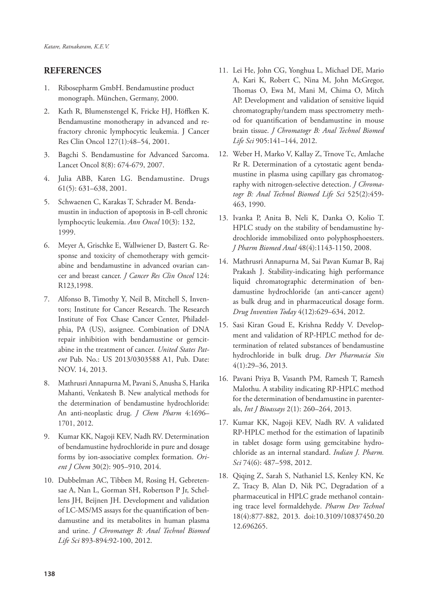## **REFERENCES**

- 1. Ribosepharm GmbH. Bendamustine product monograph. München, Germany, 2000.
- 2. Kath R, Blumenstengel K, Fricke HJ, Höffken K. Bendamustine monotherapy in advanced and refractory chronic lymphocytic leukemia. J Cancer Res Clin Oncol 127(1):48–54, 2001.
- 3. Bagchi S. Bendamustine for Advanced Sarcoma. Lancet Oncol 8(8): 674-679, 2007.
- Julia ABB, Karen LG. Bendamustine. Drugs 61(5): 631–638, 2001.
- 5. Schwaenen C, Karakas T, Schrader M. Bendamustin in induction of apoptosis in B-cell chronic lymphocytic leukemia. *Ann Oncol* 10(3): 132, 1999.
- 6. Meyer A, Grischke E, Wallwiener D, Bastert G. Response and toxicity of chemotherapy with gemcitabine and bendamustine in advanced ovarian cancer and breast cancer. *J Cancer Res Clin Oncol* 124: R123,1998.
- 7. Alfonso B, Timothy Y, Neil B, Mitchell S, Inventors; Institute for Cancer Research. The Research Institute of Fox Chase Cancer Center, Philadelphia, PA (US), assignee. Combination of DNA repair inhibition with bendamustine or gemcitabine in the treatment of cancer. *United States Patent* Pub. No.: US 2013/0303588 A1, Pub. Date: NOV. 14, 2013.
- 8. Mathrusri Annapurna M, Pavani S, Anusha S, Harika Mahanti, Venkatesh B. New analytical methods for the determination of bendamustine hydrochloride: An anti-neoplastic drug. *J Chem Pharm* 4:1696– 1701, 2012.
- 9. Kumar KK, Nagoji KEV, Nadh RV. Determination of bendamustine hydrochloride in pure and dosage forms by ion-associative complex formation. *Orient J Chem* 30(2): 905–910, 2014.
- 10. Dubbelman AC, Tibben M, Rosing H, Gebretensae A, Nan L, Gorman SH, Robertson P Jr, Schellens JH, Beijnen JH. Development and validation of LC-MS/MS assays for the quantification of bendamustine and its metabolites in human plasma and urine. *J Chromatogr B: Anal Technol Biomed Life Sci* 893-894:92-100, 2012.
- 11. Lei He, John CG, Yonghua L, Michael DE, Mario A, Kari K, Robert C, Nina M, John McGregor, Thomas O, Ewa M, Mani M, Chima O, Mitch AP. Development and validation of sensitive liquid chromatography/tandem mass spectrometry method for quantification of bendamustine in mouse brain tissue. *J Chromatogr B: Anal Technol Biomed Life Sci* 905:141–144, 2012.
- 12. Weber H, Marko V, Kallay Z, Trnove Tc, Amlache Rr R. Determination of a cytostatic agent bendamustine in plasma using capillary gas chromatography with nitrogen-selective detection. *J Chromatogr B: Anal Technol Biomed Life Sci* 525(2):459- 463, 1990.
- 13. Ivanka P, Anita B, Neli K, Danka O, Kolio T. HPLC study on the stability of bendamustine hydrochloride immobilized onto polyphosphoesters. *J Pharm Biomed Anal* 48(4):1143-1150, 2008.
- 14. Mathrusri Annapurna M, Sai Pavan Kumar B, Raj Prakash J. Stability-indicating high performance liquid chromatographic determination of bendamustine hydrochloride (an anti-cancer agent) as bulk drug and in pharmaceutical dosage form. *Drug Invention Today* 4(12):629–634, 2012.
- 15. Sasi Kiran Goud E, Krishna Reddy V. Development and validation of RP-HPLC method for determination of related substances of bendamustine hydrochloride in bulk drug. *Der Pharmacia Sin* 4(1):29–36, 2013.
- 16. Pavani Priya B, Vasanth PM, Ramesh T, Ramesh Malothu. A stability indicating RP-HPLC method for the determination of bendamustine in parenterals, *Int J Bioassays* 2(1): 260–264, 2013.
- 17. Kumar KK, Nagoji KEV, Nadh RV. A validated RP-HPLC method for the estimation of lapatinib in tablet dosage form using gemcitabine hydrochloride as an internal standard. *Indian J. Pharm. Sci* 74(6): 487–598, 2012.
- 18. Qiqing Z, Sarah S, Nathaniel LS, Kenley KN, Ke Z, Tracy B, Alan D, Nik PC, Degradation of a pharmaceutical in HPLC grade methanol containing trace level formaldehyde. *Pharm Dev Technol*  18(4):877-882, 2013. doi:10.3109/10837450.20 12.696265.